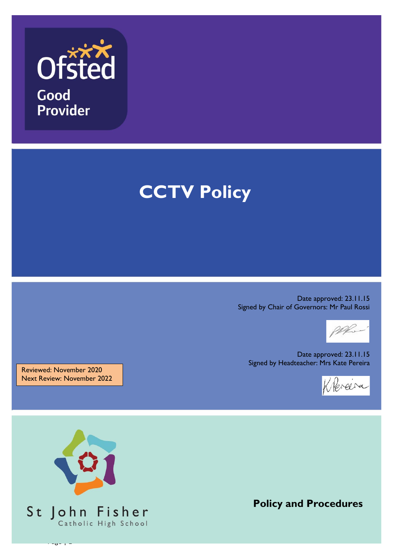

# **CCTV Policy**

Date approved: 23.11.15 Signed by Chair of Governors: Mr Paul Rossi



Date approved: 23.11.15 Signed by Headteacher: Mrs Kate Pereira



Reviewed: November 2020 Next Review: November 2022



**Policy and Procedures**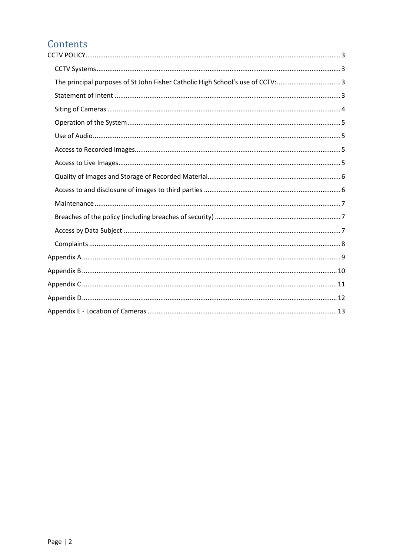# Contents

| The principal purposes of St John Fisher Catholic High School's use of CCTV:3 |
|-------------------------------------------------------------------------------|
|                                                                               |
|                                                                               |
|                                                                               |
|                                                                               |
|                                                                               |
|                                                                               |
|                                                                               |
|                                                                               |
|                                                                               |
|                                                                               |
|                                                                               |
|                                                                               |
|                                                                               |
|                                                                               |
|                                                                               |
|                                                                               |
|                                                                               |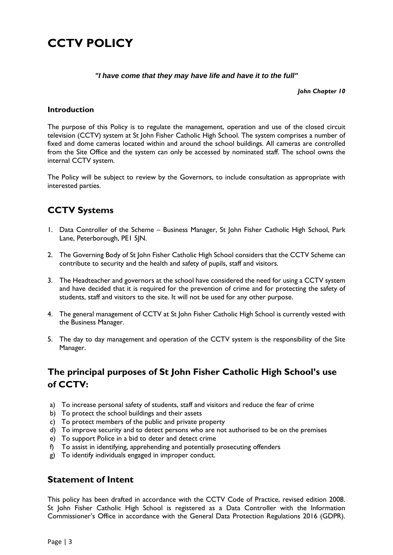# <span id="page-2-0"></span>**CCTV POLICY**

#### *"I have come that they may have life and have it to the full"*

*John Chapter 10*

#### **Introduction**

The purpose of this Policy is to regulate the management, operation and use of the closed circuit television (CCTV) system at St John Fisher Catholic High School. The system comprises a number of fixed and dome cameras located within and around the school buildings. All cameras are controlled from the Site Office and the system can only be accessed by nominated staff. The school owns the internal CCTV system.

The Policy will be subject to review by the Governors, to include consultation as appropriate with interested parties.

# <span id="page-2-1"></span>**CCTV Systems**

- 1. Data Controller of the Scheme Business Manager, St John Fisher Catholic High School, Park Lane, Peterborough, PE1 5JN.
- 2. The Governing Body of St John Fisher Catholic High School considers that the CCTV Scheme can contribute to security and the health and safety of pupils, staff and visitors.
- 3. The Headteacher and governors at the school have considered the need for using a CCTV system and have decided that it is required for the prevention of crime and for protecting the safety of students, staff and visitors to the site. It will not be used for any other purpose.
- 4. The general management of CCTV at St John Fisher Catholic High School is currently vested with the Business Manager.
- 5. The day to day management and operation of the CCTV system is the responsibility of the Site Manager.

# <span id="page-2-2"></span>**The principal purposes of St John Fisher Catholic High School's use of CCTV:**

- a) To increase personal safety of students, staff and visitors and reduce the fear of crime
- b) To protect the school buildings and their assets
- c) To protect members of the public and private property
- d) To improve security and to detect persons who are not authorised to be on the premises
- e) To support Police in a bid to deter and detect crime
- f) To assist in identifying, apprehending and potentially prosecuting offenders
- g) To identify individuals engaged in improper conduct.

#### <span id="page-2-3"></span>**Statement of Intent**

This policy has been drafted in accordance with the CCTV Code of Practice, revised edition 2008. St John Fisher Catholic High School is registered as a Data Controller with the Information Commissioner's Office in accordance with the General Data Protection Regulations 2016 (GDPR).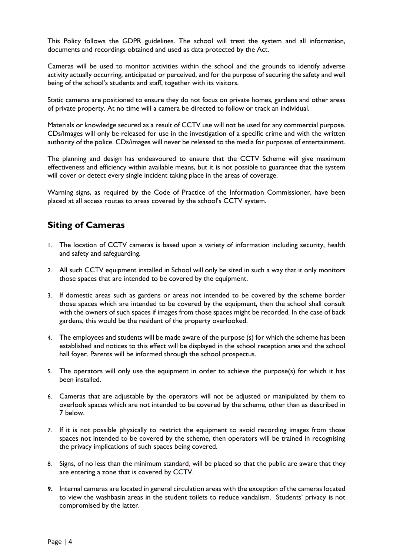This Policy follows the GDPR guidelines. The school will treat the system and all information, documents and recordings obtained and used as data protected by the Act.

Cameras will be used to monitor activities within the school and the grounds to identify adverse activity actually occurring, anticipated or perceived, and for the purpose of securing the safety and well being of the school's students and staff, together with its visitors.

Static cameras are positioned to ensure they do not focus on private homes, gardens and other areas of private property. At no time will a camera be directed to follow or track an individual.

Materials or knowledge secured as a result of CCTV use will not be used for any commercial purpose. CDs/Images will only be released for use in the investigation of a specific crime and with the written authority of the police. CDs/images will never be released to the media for purposes of entertainment.

The planning and design has endeavoured to ensure that the CCTV Scheme will give maximum effectiveness and efficiency within available means, but it is not possible to guarantee that the system will cover or detect every single incident taking place in the areas of coverage.

Warning signs, as required by the Code of Practice of the Information Commissioner, have been placed at all access routes to areas covered by the school's CCTV system.

### <span id="page-3-0"></span>**Siting of Cameras**

- 1. The location of CCTV cameras is based upon a variety of information including security, health and safety and safeguarding.
- 2. All such CCTV equipment installed in School will only be sited in such a way that it only monitors those spaces that are intended to be covered by the equipment.
- 3. If domestic areas such as gardens or areas not intended to be covered by the scheme border those spaces which are intended to be covered by the equipment, then the school shall consult with the owners of such spaces if images from those spaces might be recorded. In the case of back gardens, this would be the resident of the property overlooked.
- 4. The employees and students will be made aware of the purpose (s) for which the scheme has been established and notices to this effect will be displayed in the school reception area and the school hall foyer. Parents will be informed through the school prospectus.
- 5. The operators will only use the equipment in order to achieve the purpose(s) for which it has been installed.
- 6. Cameras that are adjustable by the operators will not be adjusted or manipulated by them to overlook spaces which are not intended to be covered by the scheme, other than as described in 7 below.
- 7. If it is not possible physically to restrict the equipment to avoid recording images from those spaces not intended to be covered by the scheme, then operators will be trained in recognising the privacy implications of such spaces being covered.
- 8. Signs, of no less than the minimum standard, will be placed so that the public are aware that they are entering a zone that is covered by CCTV.
- **9.** Internal cameras are located in general circulation areas with the exception of the cameras located to view the washbasin areas in the student toilets to reduce vandalism. Students' privacy is not compromised by the latter.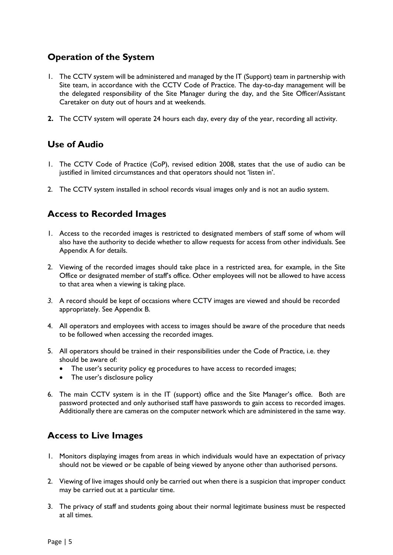# <span id="page-4-0"></span>**Operation of the System**

- 1. The CCTV system will be administered and managed by the IT (Support) team in partnership with Site team, in accordance with the CCTV Code of Practice. The day-to-day management will be the delegated responsibility of the Site Manager during the day, and the Site Officer/Assistant Caretaker on duty out of hours and at weekends.
- **2.** The CCTV system will operate 24 hours each day, every day of the year, recording all activity.

### <span id="page-4-1"></span>**Use of Audio**

- 1. The CCTV Code of Practice (CoP), revised edition 2008, states that the use of audio can be justified in limited circumstances and that operators should not 'listen in'.
- 2. The CCTV system installed in school records visual images only and is not an audio system.

# <span id="page-4-2"></span>**Access to Recorded Images**

- 1. Access to the recorded images is restricted to designated members of staff some of whom will also have the authority to decide whether to allow requests for access from other individuals. See Appendix A for details.
- 2. Viewing of the recorded images should take place in a restricted area, for example, in the Site Office or designated member of staff's office. Other employees will not be allowed to have access to that area when a viewing is taking place.
- *3.* A record should be kept of occasions where CCTV images are viewed and should be recorded appropriately. See Appendix B.
- 4. All operators and employees with access to images should be aware of the procedure that needs to be followed when accessing the recorded images.
- 5. All operators should be trained in their responsibilities under the Code of Practice, i.e. they should be aware of:
	- The user's security policy eg procedures to have access to recorded images;
	- The user's disclosure policy
- 6. The main CCTV system is in the IT (support) office and the Site Manager's office. Both are password protected and only authorised staff have passwords to gain access to recorded images. Additionally there are cameras on the computer network which are administered in the same way.

# <span id="page-4-3"></span>**Access to Live Images**

- 1. Monitors displaying images from areas in which individuals would have an expectation of privacy should not be viewed or be capable of being viewed by anyone other than authorised persons.
- 2. Viewing of live images should only be carried out when there is a suspicion that improper conduct may be carried out at a particular time.
- 3. The privacy of staff and students going about their normal legitimate business must be respected at all times.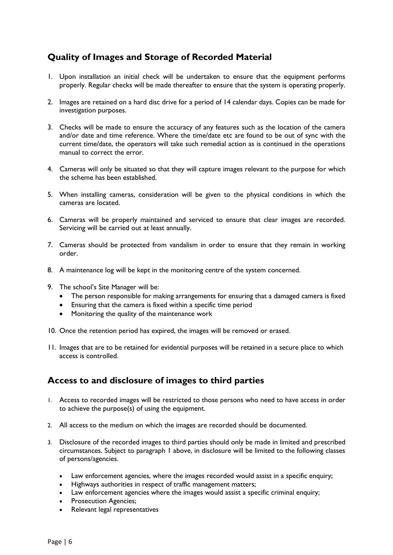# <span id="page-5-0"></span>**Quality of Images and Storage of Recorded Material**

- 1. Upon installation an initial check will be undertaken to ensure that the equipment performs properly. Regular checks will be made thereafter to ensure that the system is operating properly.
- 2. Images are retained on a hard disc drive for a period of 14 calendar days. Copies can be made for investigation purposes.
- 3. Checks will be made to ensure the accuracy of any features such as the location of the camera and/or date and time reference. Where the time/date etc are found to be out of sync with the current time/date, the operators will take such remedial action as is continued in the operations manual to correct the error.
- 4. Cameras will only be situated so that they will capture images relevant to the purpose for which the scheme has been established.
- 5. When installing cameras, consideration will be given to the physical conditions in which the cameras are located.
- 6. Cameras will be properly maintained and serviced to ensure that clear images are recorded. Servicing will be carried out at least annually.
- 7. Cameras should be protected from vandalism in order to ensure that they remain in working order.
- 8. A maintenance log will be kept in the monitoring centre of the system concerned.
- 9. The school's Site Manager will be:
	- The person responsible for making arrangements for ensuring that a damaged camera is fixed
	- Ensuring that the camera is fixed within a specific time period
	- Monitoring the quality of the maintenance work
- 10. Once the retention period has expired, the images will be removed or erased.
- 11. Images that are to be retained for evidential purposes will be retained in a secure place to which access is controlled.

#### <span id="page-5-1"></span>**Access to and disclosure of images to third parties**

- 1. Access to recorded images will be restricted to those persons who need to have access in order to achieve the purpose(s) of using the equipment.
- 2. All access to the medium on which the images are recorded should be documented.
- 3. Disclosure of the recorded images to third parties should only be made in limited and prescribed circumstances. Subject to paragraph 1 above, in disclosure will be limited to the following classes of persons/agencies.
	- Law enforcement agencies, where the images recorded would assist in a specific enquiry;
	- Highways authorities in respect of traffic management matters;
	- Law enforcement agencies where the images would assist a specific criminal enquiry;
	- Prosecution Agencies;
	- Relevant legal representatives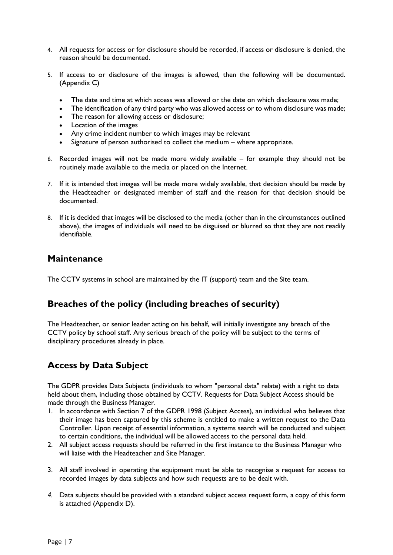- 4. All requests for access or for disclosure should be recorded, if access or disclosure is denied, the reason should be documented.
- 5. If access to or disclosure of the images is allowed, then the following will be documented. (Appendix C)
	- The date and time at which access was allowed or the date on which disclosure was made;
	- The identification of any third party who was allowed access or to whom disclosure was made;
	- The reason for allowing access or disclosure;
	- Location of the images
	- Any crime incident number to which images may be relevant
	- Signature of person authorised to collect the medium where appropriate.
- 6. Recorded images will not be made more widely available for example they should not be routinely made available to the media or placed on the Internet.
- 7. If it is intended that images will be made more widely available, that decision should be made by the Headteacher or designated member of staff and the reason for that decision should be documented.
- 8. If it is decided that images will be disclosed to the media (other than in the circumstances outlined above), the images of individuals will need to be disguised or blurred so that they are not readily identifiable.

#### <span id="page-6-0"></span>**Maintenance**

The CCTV systems in school are maintained by the IT (support) team and the Site team.

# <span id="page-6-1"></span>**Breaches of the policy (including breaches of security)**

The Headteacher, or senior leader acting on his behalf, will initially investigate any breach of the CCTV policy by school staff. Any serious breach of the policy will be subject to the terms of disciplinary procedures already in place.

# <span id="page-6-2"></span>**Access by Data Subject**

The GDPR provides Data Subjects (individuals to whom "personal data" relate) with a right to data held about them, including those obtained by CCTV. Requests for Data Subject Access should be made through the Business Manager.

- 1. In accordance with Section 7 of the GDPR 1998 (Subject Access), an individual who believes that their image has been captured by this scheme is entitled to make a written request to the Data Controller. Upon receipt of essential information, a systems search will be conducted and subject to certain conditions, the individual will be allowed access to the personal data held.
- 2. All subject access requests should be referred in the first instance to the Business Manager who will liaise with the Headteacher and Site Manager.
- 3. All staff involved in operating the equipment must be able to recognise a request for access to recorded images by data subjects and how such requests are to be dealt with.
- *4.* Data subjects should be provided with a standard subject access request form, a copy of this form is attached (Appendix D).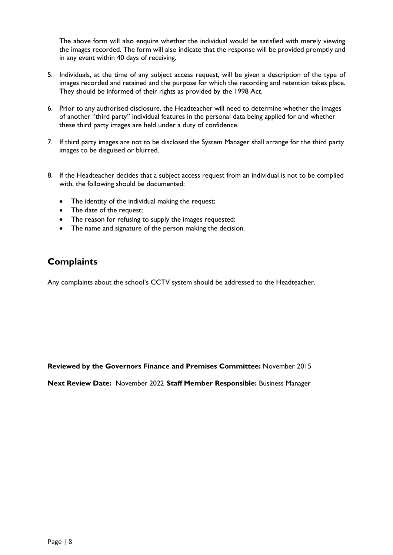The above form will also enquire whether the individual would be satisfied with merely viewing the images recorded. The form will also indicate that the response will be provided promptly and in any event within 40 days of receiving.

- 5. Individuals, at the time of any subject access request, will be given a description of the type of images recorded and retained and the purpose for which the recording and retention takes place. They should be informed of their rights as provided by the 1998 Act.
- 6. Prior to any authorised disclosure, the Headteacher will need to determine whether the images of another "third party" individual features in the personal data being applied for and whether these third party images are held under a duty of confidence.
- 7. If third party images are not to be disclosed the System Manager shall arrange for the third party images to be disguised or blurred.
- 8. If the Headteacher decides that a subject access request from an individual is not to be complied with, the following should be documented:
	- The identity of the individual making the request;
	- The date of the request;
	- The reason for refusing to supply the images requested;
	- The name and signature of the person making the decision.

### <span id="page-7-0"></span>**Complaints**

Any complaints about the school's CCTV system should be addressed to the Headteacher.

**Reviewed by the Governors Finance and Premises Committee:** November 2015

**Next Review Date:** November 2022 **Staff Member Responsible:** Business Manager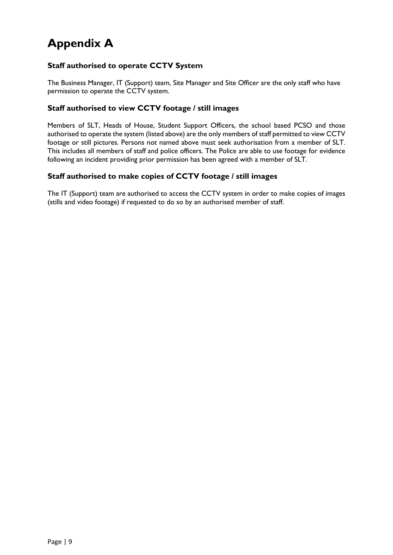# <span id="page-8-0"></span>**Appendix A**

#### **Staff authorised to operate CCTV System**

The Business Manager, IT (Support) team, Site Manager and Site Officer are the only staff who have permission to operate the CCTV system.

#### **Staff authorised to view CCTV footage / still images**

Members of SLT, Heads of House, Student Support Officers, the school based PCSO and those authorised to operate the system (listed above) are the only members of staff permitted to view CCTV footage or still pictures. Persons not named above must seek authorisation from a member of SLT. This includes all members of staff and police officers. The Police are able to use footage for evidence following an incident providing prior permission has been agreed with a member of SLT.

#### **Staff authorised to make copies of CCTV footage / still images**

The IT (Support) team are authorised to access the CCTV system in order to make copies of images (stills and video footage) if requested to do so by an authorised member of staff.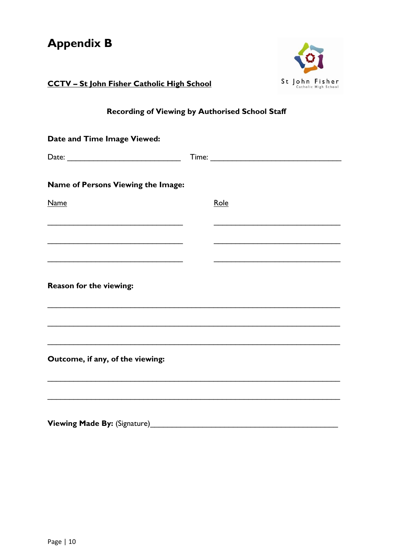<span id="page-9-0"></span>

| <b>Appendix B</b>                                 |  |                |  |  |  |
|---------------------------------------------------|--|----------------|--|--|--|
| <b>CCTV - St John Fisher Catholic High School</b> |  | St John Fisher |  |  |  |
| Recording of Viewing by Authorised School Staff   |  |                |  |  |  |
| Date and Time Image Viewed:                       |  |                |  |  |  |
|                                                   |  |                |  |  |  |
| Name of Persons Viewing the Image:                |  |                |  |  |  |
| <b>Name</b>                                       |  | Role           |  |  |  |
|                                                   |  |                |  |  |  |
|                                                   |  |                |  |  |  |
| Reason for the viewing:                           |  |                |  |  |  |
|                                                   |  |                |  |  |  |
| Outcome, if any, of the viewing:                  |  |                |  |  |  |
|                                                   |  |                |  |  |  |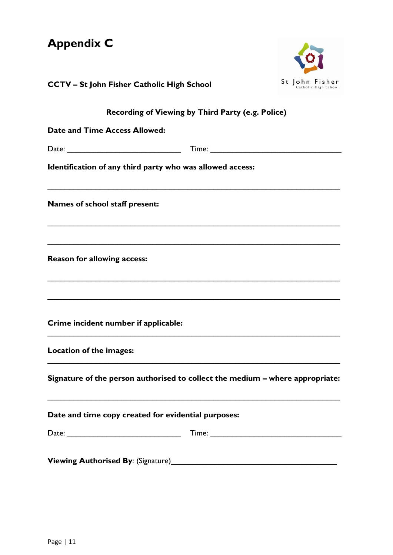<span id="page-10-0"></span>

| <b>Appendix C</b>                                                             |                                        |
|-------------------------------------------------------------------------------|----------------------------------------|
| <b>CCTV - St John Fisher Catholic High School</b>                             | St John Fisher<br>Catholic High School |
| Recording of Viewing by Third Party (e.g. Police)                             |                                        |
| Date and Time Access Allowed:                                                 |                                        |
|                                                                               |                                        |
| Identification of any third party who was allowed access:                     |                                        |
| Names of school staff present:                                                |                                        |
| <b>Reason for allowing access:</b>                                            |                                        |
| Crime incident number if applicable:                                          |                                        |
| Location of the images:                                                       |                                        |
| Signature of the person authorised to collect the medium - where appropriate: |                                        |
| Date and time copy created for evidential purposes:                           |                                        |
|                                                                               |                                        |
|                                                                               |                                        |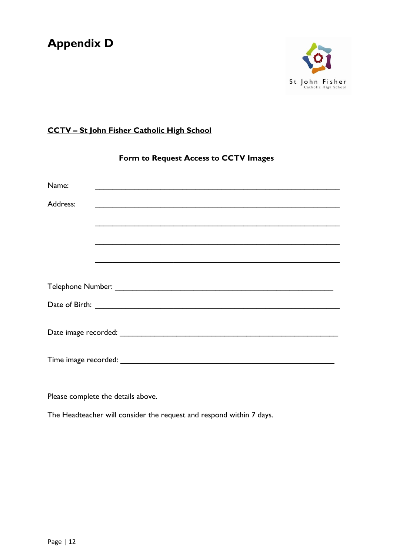# <span id="page-11-0"></span>**Appendix D**



# **CCTV – St John Fisher Catholic High School**

| Form to Request Access to CCTV Images |  |  |  |  |
|---------------------------------------|--|--|--|--|
| Name:                                 |  |  |  |  |
| Address:                              |  |  |  |  |
|                                       |  |  |  |  |
|                                       |  |  |  |  |
|                                       |  |  |  |  |
|                                       |  |  |  |  |
|                                       |  |  |  |  |
|                                       |  |  |  |  |
|                                       |  |  |  |  |
|                                       |  |  |  |  |

Please complete the details above.

The Headteacher will consider the request and respond within 7 days.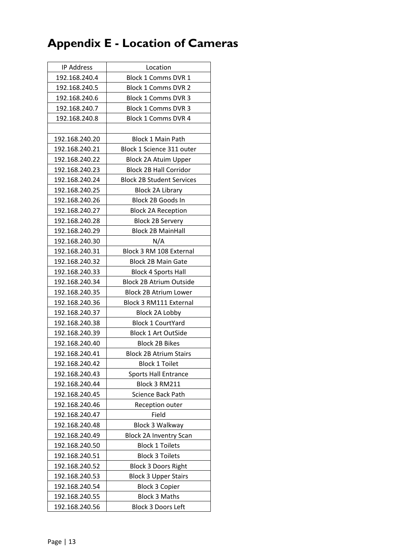# <span id="page-12-0"></span>**Appendix E - Location of Cameras**

| <b>IP Address</b> | Location                         |
|-------------------|----------------------------------|
| 192.168.240.4     | Block 1 Comms DVR 1              |
| 192.168.240.5     | Block 1 Comms DVR 2              |
| 192.168.240.6     | <b>Block 1 Comms DVR 3</b>       |
| 192.168.240.7     | Block 1 Comms DVR 3              |
| 192.168.240.8     | <b>Block 1 Comms DVR 4</b>       |
|                   |                                  |
| 192.168.240.20    | <b>Block 1 Main Path</b>         |
| 192.168.240.21    | Block 1 Science 311 outer        |
| 192.168.240.22    | Block 2A Atuim Upper             |
| 192.168.240.23    | <b>Block 2B Hall Corridor</b>    |
| 192.168.240.24    | <b>Block 2B Student Services</b> |
| 192.168.240.25    | <b>Block 2A Library</b>          |
| 192.168.240.26    | Block 2B Goods In                |
| 192.168.240.27    | <b>Block 2A Reception</b>        |
| 192.168.240.28    | <b>Block 2B Servery</b>          |
| 192.168.240.29    | <b>Block 2B MainHall</b>         |
| 192.168.240.30    | N/A                              |
| 192.168.240.31    | Block 3 RM 108 External          |
| 192.168.240.32    | <b>Block 2B Main Gate</b>        |
| 192.168.240.33    | <b>Block 4 Sports Hall</b>       |
| 192.168.240.34    | <b>Block 2B Atrium Outside</b>   |
| 192.168.240.35    | <b>Block 2B Atrium Lower</b>     |
| 192.168.240.36    | Block 3 RM111 External           |
| 192.168.240.37    | Block 2A Lobby                   |
| 192.168.240.38    | <b>Block 1 CourtYard</b>         |
| 192.168.240.39    | <b>Block 1 Art OutSide</b>       |
| 192.168.240.40    | <b>Block 2B Bikes</b>            |
| 192.168.240.41    | <b>Block 2B Atrium Stairs</b>    |
| 192.168.240.42    | <b>Block 1 Toilet</b>            |
| 192.168.240.43    | <b>Sports Hall Entrance</b>      |
| 192.168.240.44    | Block 3 RM211                    |
| 192.168.240.45    | Science Back Path                |
| 192.168.240.46    | Reception outer                  |
| 192.168.240.47    | Field                            |
| 192.168.240.48    | <b>Block 3 Walkway</b>           |
| 192.168.240.49    | <b>Block 2A Inventry Scan</b>    |
| 192.168.240.50    | <b>Block 1 Toilets</b>           |
| 192.168.240.51    | <b>Block 3 Toilets</b>           |
| 192.168.240.52    | <b>Block 3 Doors Right</b>       |
| 192.168.240.53    | <b>Block 3 Upper Stairs</b>      |
| 192.168.240.54    | <b>Block 3 Copier</b>            |
| 192.168.240.55    | <b>Block 3 Maths</b>             |
| 192.168.240.56    | <b>Block 3 Doors Left</b>        |